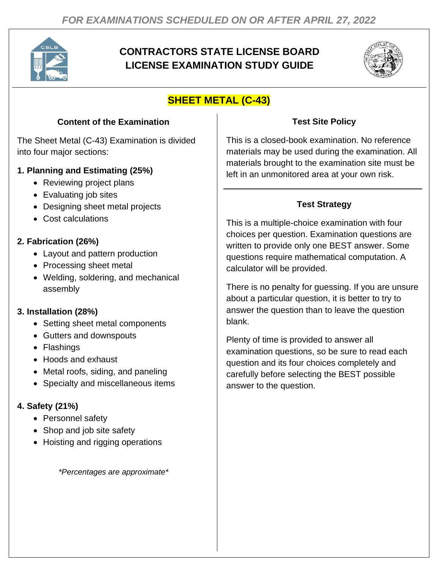

# **CONTRACTORS STATE LICENSE BOARD LICENSE EXAMINATION STUDY GUIDE**



# **SHEET METAL (C-43)**

## **Content of the Examination**

The Sheet Metal (C-43) Examination is divided into four major sections:

## **1. Planning and Estimating (25%)**

- Reviewing project plans
- Evaluating job sites
- Designing sheet metal projects
- Cost calculations

## **2. Fabrication (26%)**

- Layout and pattern production
- Processing sheet metal
- Welding, soldering, and mechanical assembly

## **3. Installation (28%)**

- Setting sheet metal components
- Gutters and downspouts
- Flashings
- Hoods and exhaust
- Metal roofs, siding, and paneling
- Specialty and miscellaneous items

# **4. Safety (21%)**

- Personnel safety
- Shop and job site safety
- Hoisting and rigging operations

*\*Percentages are approximate\**

# **Test Site Policy**

This is a closed-book examination. No reference materials may be used during the examination. All materials brought to the examination site must be left in an unmonitored area at your own risk.

# **Test Strategy**

This is a multiple-choice examination with four choices per question. Examination questions are written to provide only one BEST answer. Some questions require mathematical computation. A calculator will be provided.

There is no penalty for guessing. If you are unsure about a particular question, it is better to try to answer the question than to leave the question blank.

Plenty of time is provided to answer all examination questions, so be sure to read each question and its four choices completely and carefully before selecting the BEST possible answer to the question.